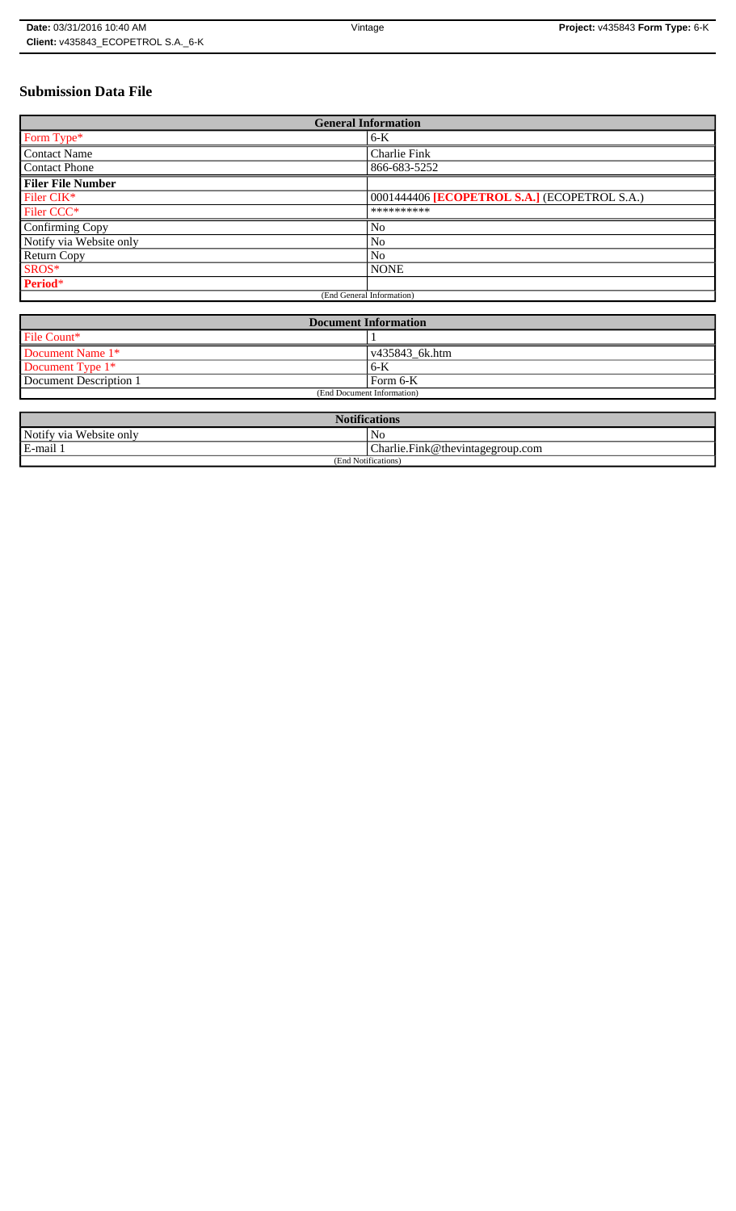# **Submission Data File**

| <b>General Information</b> |                                              |
|----------------------------|----------------------------------------------|
| Form Type*                 | $6-K$                                        |
| <b>Contact Name</b>        | Charlie Fink                                 |
| <b>Contact Phone</b>       | 866-683-5252                                 |
| <b>Filer File Number</b>   |                                              |
| Filer CIK*                 | 0001444406 [ECOPETROL S.A.] (ECOPETROL S.A.) |
| Filer CCC*                 | **********                                   |
| Confirming Copy            | N <sub>0</sub>                               |
| Notify via Website only    | N <sub>o</sub>                               |
| <b>Return Copy</b>         | N <sub>o</sub>                               |
| SROS*                      | <b>NONE</b>                                  |
| Period*                    |                                              |
| (End General Information)  |                                              |

| <b>Document Information</b> |                        |
|-----------------------------|------------------------|
| File Count*                 |                        |
| Document Name 1*            | $\sqrt{435843}$ 6k.htm |
| Document Type 1*            | 6-K                    |
| Document Description 1      | Form 6-K               |
| (End Document Information)  |                        |

| <b>Notifications</b>    |                                  |  |
|-------------------------|----------------------------------|--|
| Notify via Website only | N <sub>0</sub>                   |  |
| E-mail 1                | Charlie.Fink@thevintagegroup.com |  |
| (End Notifications)     |                                  |  |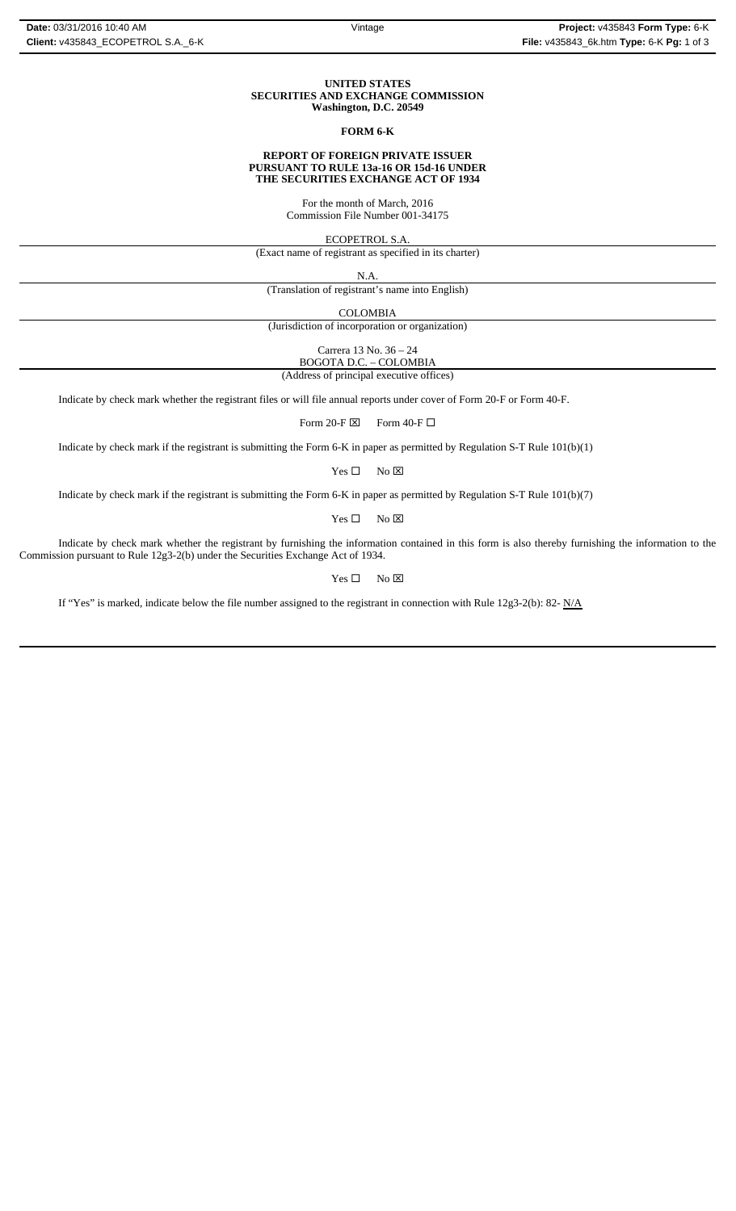### **UNITED STATES SECURITIES AND EXCHANGE COMMISSION Washington, D.C. 20549**

# **FORM 6-K**

### **REPORT OF FOREIGN PRIVATE ISSUER PURSUANT TO RULE 13a-16 OR 15d-16 UNDER THE SECURITIES EXCHANGE ACT OF 1934**

For the month of March, 2016 Commission File Number 001-34175

ECOPETROL S.A.

(Exact name of registrant as specified in its charter)

N.A.

(Translation of registrant's name into English)

COLOMBIA

(Jurisdiction of incorporation or organization)

Carrera 13 No. 36 – 24

BOGOTA D.C. – COLOMBIA (Address of principal executive offices)

Indicate by check mark whether the registrant files or will file annual reports under cover of Form 20-F or Form 40-F.

Form 20-F  $\boxtimes$  Form 40-F  $\Box$ 

Indicate by check mark if the registrant is submitting the Form 6-K in paper as permitted by Regulation S-T Rule 101(b)(1)

 $Yes \Box$  No  $\boxtimes$ 

Indicate by check mark if the registrant is submitting the Form 6-K in paper as permitted by Regulation S-T Rule 101(b)(7)

 $Yes \Box$  No  $\boxtimes$ 

Indicate by check mark whether the registrant by furnishing the information contained in this form is also thereby furnishing the information to the Commission pursuant to Rule 12g3-2(b) under the Securities Exchange Act of 1934.

 $Yes \Box$  No  $\boxtimes$ 

If "Yes" is marked, indicate below the file number assigned to the registrant in connection with Rule 12g3-2(b): 82-  $N/A$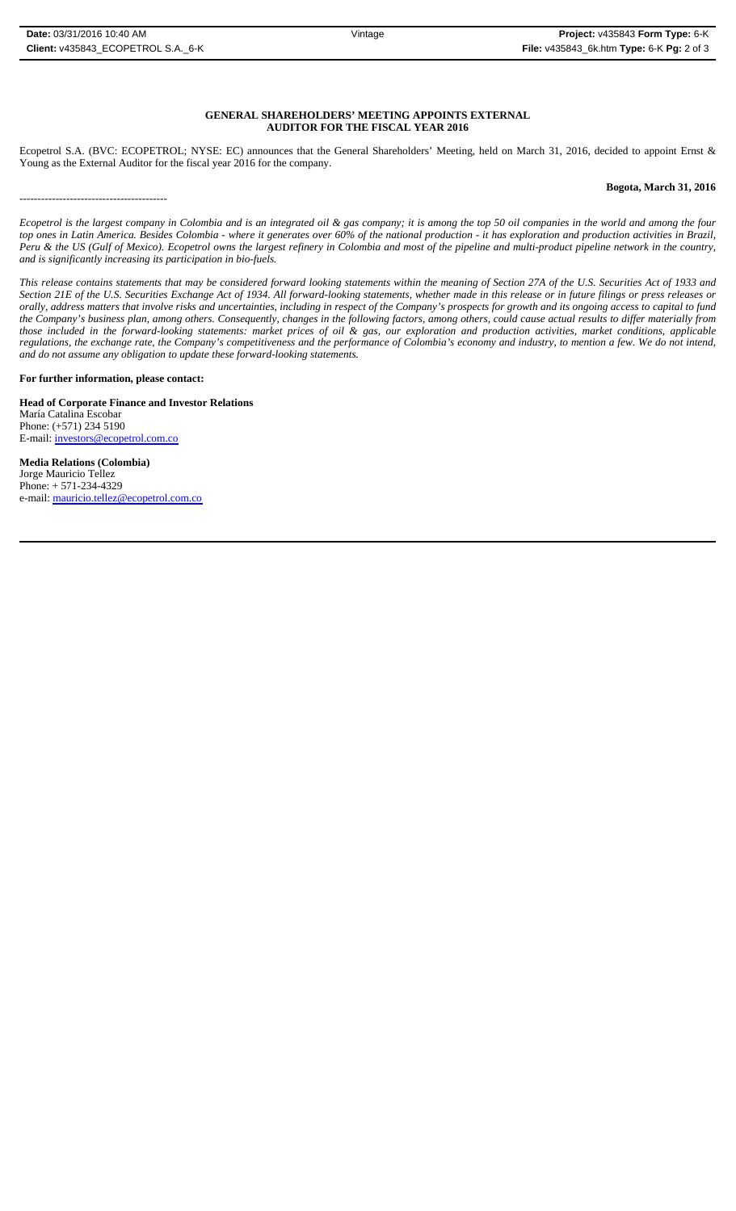-----------------------------------------

# **GENERAL SHAREHOLDERS' MEETING APPOINTS EXTERNAL AUDITOR FOR THE FISCAL YEAR 2016**

Ecopetrol S.A. (BVC: ECOPETROL; NYSE: EC) announces that the General Shareholders' Meeting, held on March 31, 2016, decided to appoint Ernst & Young as the External Auditor for the fiscal year 2016 for the company.

# **Bogota, March 31, 2016**

*Ecopetrol is the largest company in Colombia and is an integrated oil & gas company; it is among the top 50 oil companies in the world and among the four top ones in Latin America. Besides Colombia - where it generates over 60% of the national production - it has exploration and production activities in Brazil, Peru & the US (Gulf of Mexico). Ecopetrol owns the largest refinery in Colombia and most of the pipeline and multi-product pipeline network in the country, and is significantly increasing its participation in bio-fuels.*

*This release contains statements that may be considered forward looking statements within the meaning of Section 27A of the U.S. Securities Act of 1933 and Section 21E of the U.S. Securities Exchange Act of 1934. All forward-looking statements, whether made in this release or in future filings or press releases or* orally, address matters that involve risks and uncertainties, including in respect of the Company's prospects for growth and its ongoing access to capital to fund *the Company's business plan, among others. Consequently, changes in the following factors, among others, could cause actual results to differ materially from those included in the forward-looking statements: market prices of oil & gas, our exploration and production activities, market conditions, applicable regulations, the exchange rate, the Company's competitiveness and the performance of Colombia's economy and industry, to mention a few. We do not intend, and do not assume any obligation to update these forward-looking statements.*

**For further information, please contact:** 

**Head of Corporate Finance and Investor Relations** María Catalina Escobar Phone: (+571) 234 5190 E-mail: investors@ecopetrol.com.co

**Media Relations (Colombia)**  Jorge Mauricio Tellez Phone: + 571-234-4329 e-mail: mauricio.tellez@ecopetrol.com.co